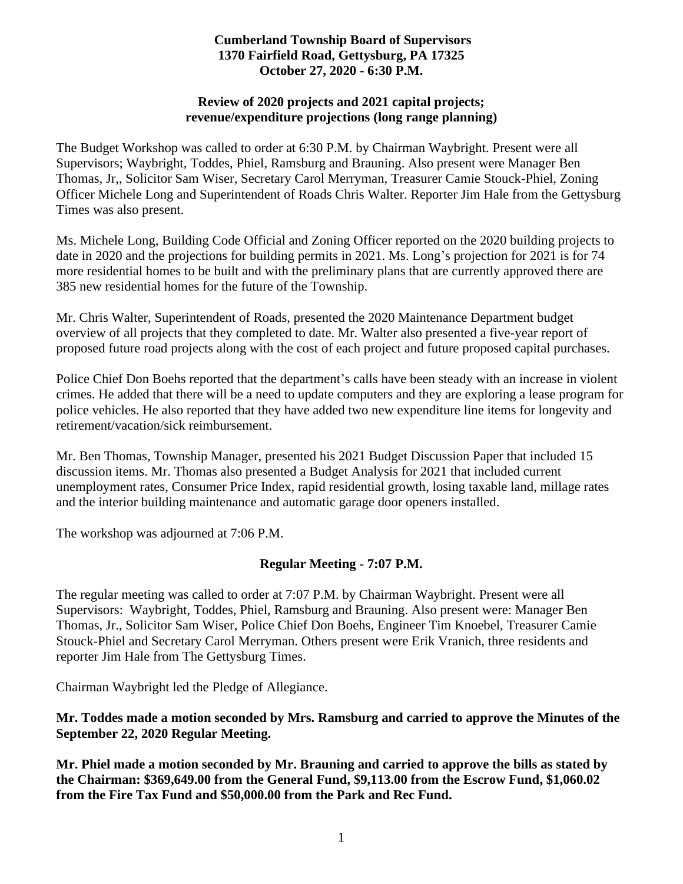### **Cumberland Township Board of Supervisors 1370 Fairfield Road, Gettysburg, PA 17325 October 27, 2020 - 6:30 P.M.**

#### **Review of 2020 projects and 2021 capital projects; revenue/expenditure projections (long range planning)**

The Budget Workshop was called to order at 6:30 P.M. by Chairman Waybright. Present were all Supervisors; Waybright, Toddes, Phiel, Ramsburg and Brauning. Also present were Manager Ben Thomas, Jr,, Solicitor Sam Wiser, Secretary Carol Merryman, Treasurer Camie Stouck-Phiel, Zoning Officer Michele Long and Superintendent of Roads Chris Walter. Reporter Jim Hale from the Gettysburg Times was also present.

Ms. Michele Long, Building Code Official and Zoning Officer reported on the 2020 building projects to date in 2020 and the projections for building permits in 2021. Ms. Long's projection for 2021 is for 74 more residential homes to be built and with the preliminary plans that are currently approved there are 385 new residential homes for the future of the Township.

Mr. Chris Walter, Superintendent of Roads, presented the 2020 Maintenance Department budget overview of all projects that they completed to date. Mr. Walter also presented a five-year report of proposed future road projects along with the cost of each project and future proposed capital purchases.

Police Chief Don Boehs reported that the department's calls have been steady with an increase in violent crimes. He added that there will be a need to update computers and they are exploring a lease program for police vehicles. He also reported that they have added two new expenditure line items for longevity and retirement/vacation/sick reimbursement.

Mr. Ben Thomas, Township Manager, presented his 2021 Budget Discussion Paper that included 15 discussion items. Mr. Thomas also presented a Budget Analysis for 2021 that included current unemployment rates, Consumer Price Index, rapid residential growth, losing taxable land, millage rates and the interior building maintenance and automatic garage door openers installed.

The workshop was adjourned at 7:06 P.M.

# **Regular Meeting - 7:07 P.M.**

The regular meeting was called to order at 7:07 P.M. by Chairman Waybright. Present were all Supervisors: Waybright, Toddes, Phiel, Ramsburg and Brauning. Also present were: Manager Ben Thomas, Jr., Solicitor Sam Wiser, Police Chief Don Boehs, Engineer Tim Knoebel, Treasurer Camie Stouck-Phiel and Secretary Carol Merryman. Others present were Erik Vranich, three residents and reporter Jim Hale from The Gettysburg Times.

Chairman Waybright led the Pledge of Allegiance.

**Mr. Toddes made a motion seconded by Mrs. Ramsburg and carried to approve the Minutes of the September 22, 2020 Regular Meeting.**

**Mr. Phiel made a motion seconded by Mr. Brauning and carried to approve the bills as stated by the Chairman: \$369,649.00 from the General Fund, \$9,113.00 from the Escrow Fund, \$1,060.02 from the Fire Tax Fund and \$50,000.00 from the Park and Rec Fund.**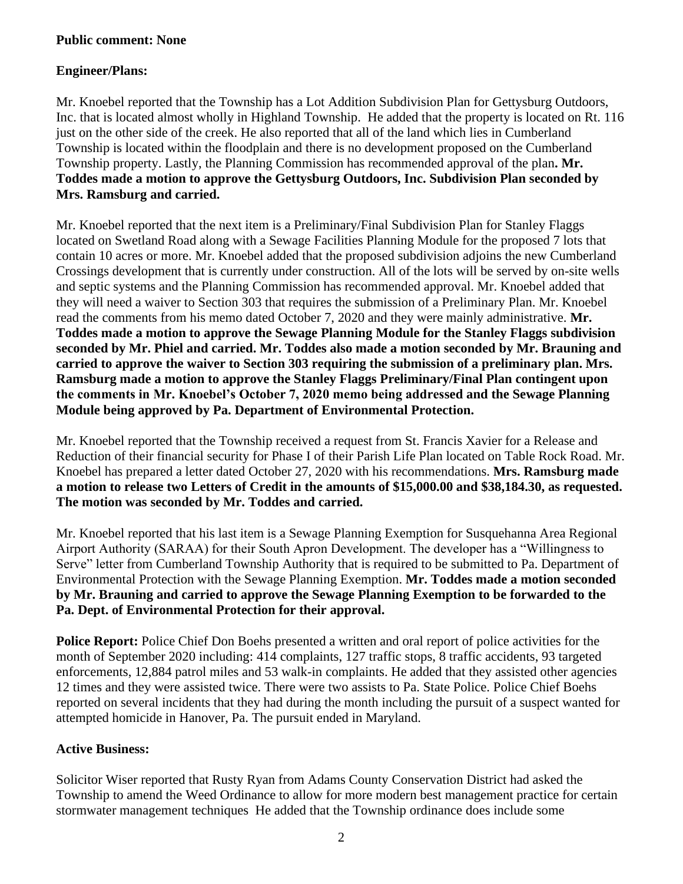### **Public comment: None**

### **Engineer/Plans:**

Mr. Knoebel reported that the Township has a Lot Addition Subdivision Plan for Gettysburg Outdoors, Inc. that is located almost wholly in Highland Township. He added that the property is located on Rt. 116 just on the other side of the creek. He also reported that all of the land which lies in Cumberland Township is located within the floodplain and there is no development proposed on the Cumberland Township property. Lastly, the Planning Commission has recommended approval of the plan**. Mr. Toddes made a motion to approve the Gettysburg Outdoors, Inc. Subdivision Plan seconded by Mrs. Ramsburg and carried.**

Mr. Knoebel reported that the next item is a Preliminary/Final Subdivision Plan for Stanley Flaggs located on Swetland Road along with a Sewage Facilities Planning Module for the proposed 7 lots that contain 10 acres or more. Mr. Knoebel added that the proposed subdivision adjoins the new Cumberland Crossings development that is currently under construction. All of the lots will be served by on-site wells and septic systems and the Planning Commission has recommended approval. Mr. Knoebel added that they will need a waiver to Section 303 that requires the submission of a Preliminary Plan. Mr. Knoebel read the comments from his memo dated October 7, 2020 and they were mainly administrative. **Mr. Toddes made a motion to approve the Sewage Planning Module for the Stanley Flaggs subdivision seconded by Mr. Phiel and carried. Mr. Toddes also made a motion seconded by Mr. Brauning and carried to approve the waiver to Section 303 requiring the submission of a preliminary plan. Mrs. Ramsburg made a motion to approve the Stanley Flaggs Preliminary/Final Plan contingent upon the comments in Mr. Knoebel's October 7, 2020 memo being addressed and the Sewage Planning Module being approved by Pa. Department of Environmental Protection.**

Mr. Knoebel reported that the Township received a request from St. Francis Xavier for a Release and Reduction of their financial security for Phase I of their Parish Life Plan located on Table Rock Road. Mr. Knoebel has prepared a letter dated October 27, 2020 with his recommendations. **Mrs. Ramsburg made a motion to release two Letters of Credit in the amounts of \$15,000.00 and \$38,184.30, as requested. The motion was seconded by Mr. Toddes and carried.**

Mr. Knoebel reported that his last item is a Sewage Planning Exemption for Susquehanna Area Regional Airport Authority (SARAA) for their South Apron Development. The developer has a "Willingness to Serve" letter from Cumberland Township Authority that is required to be submitted to Pa. Department of Environmental Protection with the Sewage Planning Exemption. **Mr. Toddes made a motion seconded by Mr. Brauning and carried to approve the Sewage Planning Exemption to be forwarded to the Pa. Dept. of Environmental Protection for their approval.**

**Police Report:** Police Chief Don Boehs presented a written and oral report of police activities for the month of September 2020 including: 414 complaints, 127 traffic stops, 8 traffic accidents, 93 targeted enforcements, 12,884 patrol miles and 53 walk-in complaints. He added that they assisted other agencies 12 times and they were assisted twice. There were two assists to Pa. State Police. Police Chief Boehs reported on several incidents that they had during the month including the pursuit of a suspect wanted for attempted homicide in Hanover, Pa. The pursuit ended in Maryland.

#### **Active Business:**

Solicitor Wiser reported that Rusty Ryan from Adams County Conservation District had asked the Township to amend the Weed Ordinance to allow for more modern best management practice for certain stormwater management techniques He added that the Township ordinance does include some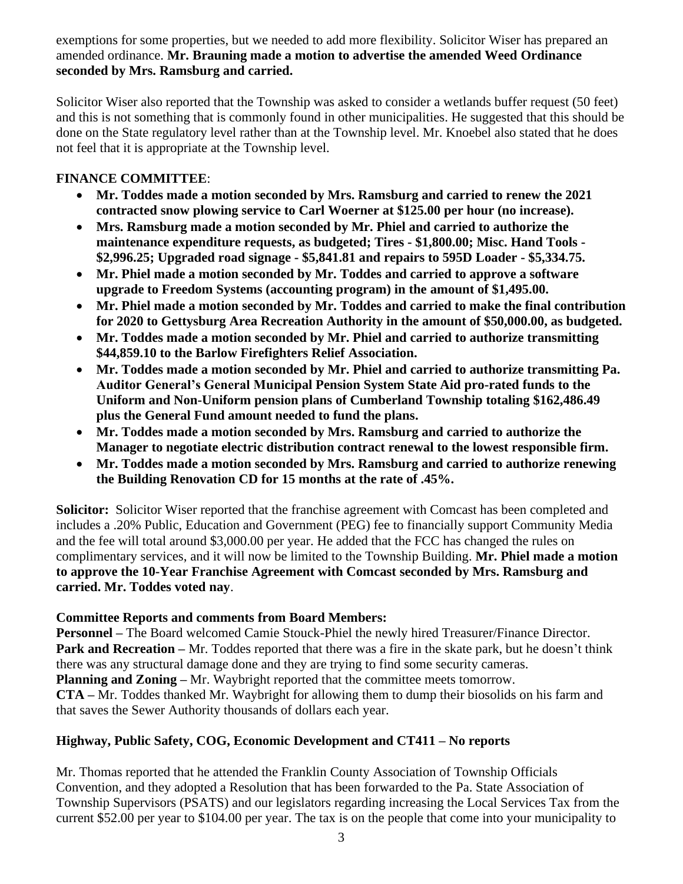exemptions for some properties, but we needed to add more flexibility. Solicitor Wiser has prepared an amended ordinance. **Mr. Brauning made a motion to advertise the amended Weed Ordinance seconded by Mrs. Ramsburg and carried.**

Solicitor Wiser also reported that the Township was asked to consider a wetlands buffer request (50 feet) and this is not something that is commonly found in other municipalities. He suggested that this should be done on the State regulatory level rather than at the Township level. Mr. Knoebel also stated that he does not feel that it is appropriate at the Township level.

### **FINANCE COMMITTEE**:

- **Mr. Toddes made a motion seconded by Mrs. Ramsburg and carried to renew the 2021 contracted snow plowing service to Carl Woerner at \$125.00 per hour (no increase).**
- **Mrs. Ramsburg made a motion seconded by Mr. Phiel and carried to authorize the maintenance expenditure requests, as budgeted; Tires - \$1,800.00; Misc. Hand Tools - \$2,996.25; Upgraded road signage - \$5,841.81 and repairs to 595D Loader - \$5,334.75.**
- **Mr. Phiel made a motion seconded by Mr. Toddes and carried to approve a software upgrade to Freedom Systems (accounting program) in the amount of \$1,495.00.**
- **Mr. Phiel made a motion seconded by Mr. Toddes and carried to make the final contribution for 2020 to Gettysburg Area Recreation Authority in the amount of \$50,000.00, as budgeted.**
- **Mr. Toddes made a motion seconded by Mr. Phiel and carried to authorize transmitting \$44,859.10 to the Barlow Firefighters Relief Association.**
- **Mr. Toddes made a motion seconded by Mr. Phiel and carried to authorize transmitting Pa. Auditor General's General Municipal Pension System State Aid pro-rated funds to the Uniform and Non-Uniform pension plans of Cumberland Township totaling \$162,486.49 plus the General Fund amount needed to fund the plans.**
- **Mr. Toddes made a motion seconded by Mrs. Ramsburg and carried to authorize the Manager to negotiate electric distribution contract renewal to the lowest responsible firm.**
- **Mr. Toddes made a motion seconded by Mrs. Ramsburg and carried to authorize renewing the Building Renovation CD for 15 months at the rate of .45%.**

**Solicitor:** Solicitor Wiser reported that the franchise agreement with Comcast has been completed and includes a .20% Public, Education and Government (PEG) fee to financially support Community Media and the fee will total around \$3,000.00 per year. He added that the FCC has changed the rules on complimentary services, and it will now be limited to the Township Building. **Mr. Phiel made a motion to approve the 10-Year Franchise Agreement with Comcast seconded by Mrs. Ramsburg and carried. Mr. Toddes voted nay**.

#### **Committee Reports and comments from Board Members:**

**Personnel –** The Board welcomed Camie Stouck-Phiel the newly hired Treasurer/Finance Director. **Park and Recreation** – Mr. Toddes reported that there was a fire in the skate park, but he doesn't think there was any structural damage done and they are trying to find some security cameras. **Planning and Zoning –** Mr. Waybright reported that the committee meets tomorrow. **CTA –** Mr. Toddes thanked Mr. Waybright for allowing them to dump their biosolids on his farm and that saves the Sewer Authority thousands of dollars each year.

# **Highway, Public Safety, COG, Economic Development and CT411 – No reports**

Mr. Thomas reported that he attended the Franklin County Association of Township Officials Convention, and they adopted a Resolution that has been forwarded to the Pa. State Association of Township Supervisors (PSATS) and our legislators regarding increasing the Local Services Tax from the current \$52.00 per year to \$104.00 per year. The tax is on the people that come into your municipality to